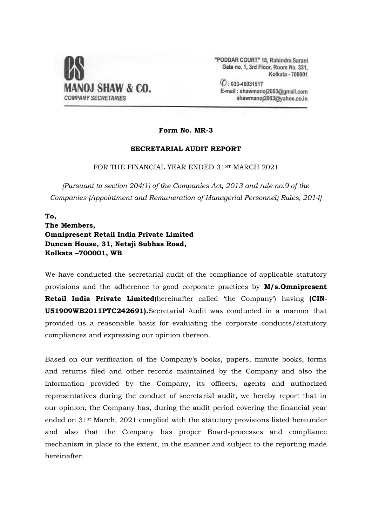

"PODDAR COURT" 18, Rabindra Sarani Gate no. 1, 3rd Floor, Room No. 331, Kolkata - 700001

 $O: 033 - 46031517$ E-mail: shawmanoj2003@gmail.com shawmanoj2003@yahoo.co.in

**Form No. MR-3**

#### **SECRETARIAL AUDIT REPORT**

FOR THE FINANCIAL YEAR ENDED 31ST MARCH 2021

*[Pursuant to section 204(1) of the Companies Act, 2013 and rule no.9 of the Companies (Appointment and Remuneration of Managerial Personnel) Rules, 2014]*

# **To, The Members, Omnipresent Retail India Private Limited Duncan House, 31, Netaji Subhas Road, Kolkata –700001, WB**

We have conducted the secretarial audit of the compliance of applicable statutory provisions and the adherence to good corporate practices by **M/s.Omnipresent Retail India Private Limited**(hereinafter called 'the Company') having **(CIN-U51909WB2011PTC242691).**Secretarial Audit was conducted in a manner that provided us a reasonable basis for evaluating the corporate conducts/statutory compliances and expressing our opinion thereon.

Based on our verification of the Company's books, papers, minute books, forms and returns filed and other records maintained by the Company and also the information provided by the Company, its officers, agents and authorized representatives during the conduct of secretarial audit, we hereby report that in our opinion, the Company has, during the audit period covering the financial year ended on 31st March, 2021 complied with the statutory provisions listed hereunder and also that the Company has proper Board-processes and compliance mechanism in place to the extent, in the manner and subject to the reporting made hereinafter.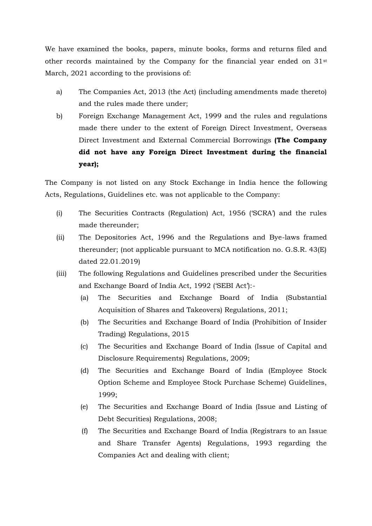We have examined the books, papers, minute books, forms and returns filed and other records maintained by the Company for the financial year ended on  $31$ <sup>st</sup> March, 2021 according to the provisions of:

- a) The Companies Act, 2013 (the Act) (including amendments made thereto) and the rules made there under;
- b) Foreign Exchange Management Act, 1999 and the rules and regulations made there under to the extent of Foreign Direct Investment, Overseas Direct Investment and External Commercial Borrowings **(The Company did not have any Foreign Direct Investment during the financial year);**

The Company is not listed on any Stock Exchange in India hence the following Acts, Regulations, Guidelines etc. was not applicable to the Company:

- (i) The Securities Contracts (Regulation) Act, 1956 ('SCRA') and the rules made thereunder;
- (ii) The Depositories Act, 1996 and the Regulations and Bye-laws framed thereunder; (not applicable pursuant to MCA notification no. G.S.R. 43(E) dated 22.01.2019)
- (iii) The following Regulations and Guidelines prescribed under the Securities and Exchange Board of India Act, 1992 ('SEBI Act'):-
	- (a) The Securities and Exchange Board of India (Substantial Acquisition of Shares and Takeovers) Regulations, 2011;
	- (b) The Securities and Exchange Board of India (Prohibition of Insider Trading) Regulations, 2015
	- (c) The Securities and Exchange Board of India (Issue of Capital and Disclosure Requirements) Regulations, 2009;
	- (d) The Securities and Exchange Board of India (Employee Stock Option Scheme and Employee Stock Purchase Scheme) Guidelines, 1999;
	- (e) The Securities and Exchange Board of India (Issue and Listing of Debt Securities) Regulations, 2008;
	- (f) The Securities and Exchange Board of India (Registrars to an Issue and Share Transfer Agents) Regulations, 1993 regarding the Companies Act and dealing with client;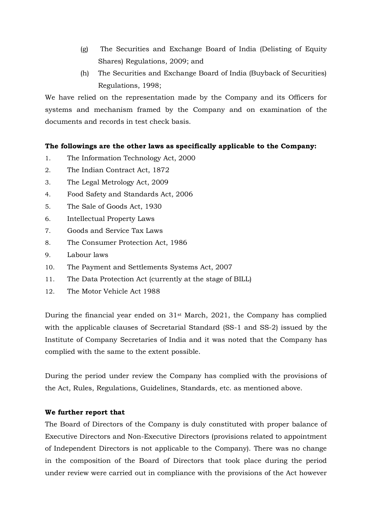- (g) The Securities and Exchange Board of India (Delisting of Equity Shares) Regulations, 2009; and
- (h) The Securities and Exchange Board of India (Buyback of Securities) Regulations, 1998;

We have relied on the representation made by the Company and its Officers for systems and mechanism framed by the Company and on examination of the documents and records in test check basis.

## **The followings are the other laws as specifically applicable to the Company:**

- 1. The Information Technology Act, 2000
- 2. The Indian Contract Act, 1872
- 3. The Legal Metrology Act, 2009
- 4. Food Safety and Standards Act, 2006
- 5. The Sale of Goods Act, 1930
- 6. Intellectual Property Laws
- 7. Goods and Service Tax Laws
- 8. The Consumer Protection Act, 1986
- 9. Labour laws
- 10. The Payment and Settlements Systems Act, 2007
- 11. The Data Protection Act (currently at the stage of BILL)
- 12. The Motor Vehicle Act 1988

During the financial year ended on 31st March, 2021, the Company has complied with the applicable clauses of Secretarial Standard (SS-1 and SS-2) issued by the Institute of Company Secretaries of India and it was noted that the Company has complied with the same to the extent possible.

During the period under review the Company has complied with the provisions of the Act, Rules, Regulations, Guidelines, Standards, etc. as mentioned above.

### **We further report that**

The Board of Directors of the Company is duly constituted with proper balance of Executive Directors and Non-Executive Directors (provisions related to appointment of Independent Directors is not applicable to the Company). There was no change in the composition of the Board of Directors that took place during the period under review were carried out in compliance with the provisions of the Act however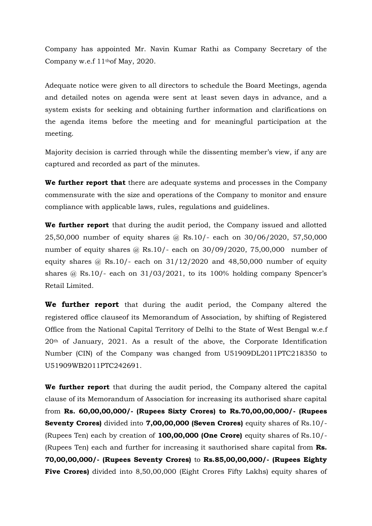Company has appointed Mr. Navin Kumar Rathi as Company Secretary of the Company w.e.f 11thof May, 2020.

Adequate notice were given to all directors to schedule the Board Meetings, agenda and detailed notes on agenda were sent at least seven days in advance, and a system exists for seeking and obtaining further information and clarifications on the agenda items before the meeting and for meaningful participation at the meeting.

Majority decision is carried through while the dissenting member's view, if any are captured and recorded as part of the minutes.

**We further report that** there are adequate systems and processes in the Company commensurate with the size and operations of the Company to monitor and ensure compliance with applicable laws, rules, regulations and guidelines.

**We further report** that during the audit period, the Company issued and allotted 25,50,000 number of equity shares @ Rs.10/- each on 30/06/2020, 57,50,000 number of equity shares @ Rs.10/- each on 30/09/2020, 75,00,000 number of equity shares  $\omega$  Rs.10/- each on 31/12/2020 and 48,50,000 number of equity shares  $\omega$  Rs.10/- each on 31/03/2021, to its 100% holding company Spencer's Retail Limited.

**We further report** that during the audit period, the Company altered the registered office clauseof its Memorandum of Association, by shifting of Registered Office from the National Capital Territory of Delhi to the State of West Bengal w.e.f 20th of January, 2021. As a result of the above, the Corporate Identification Number (CIN) of the Company was changed from U51909DL2011PTC218350 to U51909WB2011PTC242691.

**We further report** that during the audit period, the Company altered the capital clause of its Memorandum of Association for increasing its authorised share capital from **Rs. 60,00,00,000/- (Rupees Sixty Crores) to Rs.70,00,00,000/- (Rupees Seventy Crores)** divided into **7,00,00,000 (Seven Crores)** equity shares of Rs.10/- (Rupees Ten) each by creation of **100,00,000 (One Crore)** equity shares of Rs.10/- (Rupees Ten) each and further for increasing it sauthorised share capital from **Rs. 70,00,00,000/- (Rupees Seventy Crores)** to **Rs.85,00,00,000/- (Rupees Eighty Five Crores)** divided into 8,50,00,000 (Eight Crores Fifty Lakhs) equity shares of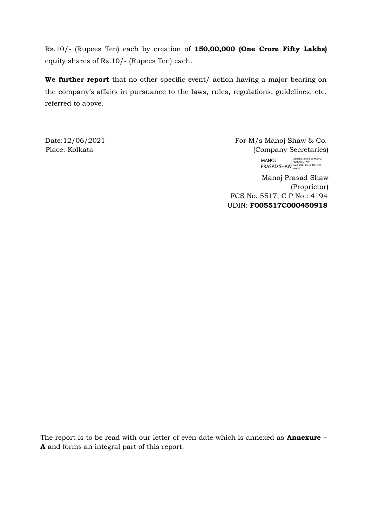Rs.10/- (Rupees Ten) each by creation of **150,00,000 (One Crore Fifty Lakhs)** equity shares of Rs.10/- (Rupees Ten) each.

We further report that no other specific event/ action having a major bearing on the company's affairs in pursuance to the laws, rules, regulations, guidelines, etc. referred to above.

Date:  $12/06/2021$  For M/s Manoj Shaw & Co. Place: Kolkata (Company Secretaries) MANOJ

Manoj Prasad Shaw PRASAD SHAW Digitally signed by MANOJ PRASAD SHAW Date: 2021.06.12 10:31:27 +05'30'

(Proprietor) FCS No. 5517; C P No.: 4194 UDIN: **F005517C000450918**

The report is to be read with our letter of even date which is annexed as **Annexure – A** and forms an integral part of this report.